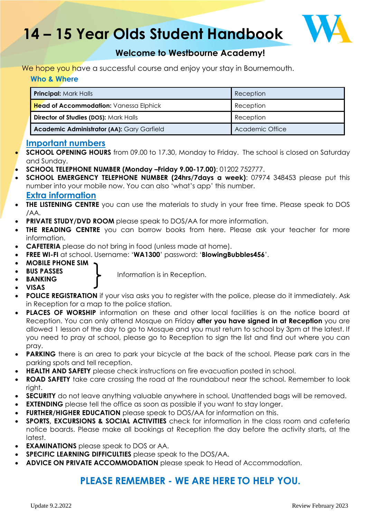# **14 – 15 Year Olds Student Handbook**



### **Welcome to Westbourne Academy!**

#### We hope you have a successful course and enjoy your stay in Bournemouth. **Who & Where**

| <b>Principal: Mark Halls</b>                  | Reception       |
|-----------------------------------------------|-----------------|
| <b>Head of Accommodation:</b> Vanessa Elphick | Reception       |
| <b>Director of Studies (DOS): Mark Halls</b>  | Reception       |
| Academic Administrator (AA): Gary Garfield    | Academic Office |

### **Important numbers**

- **SCHOOL OPENING HOURS** from 09.00 to 17.30, Monday to Friday. The school is closed on Saturday and Sunday.
- **SCHOOL TELEPHONE NUMBER (Monday –Friday 9.00-17.00)**: 01202 752777.
- **SCHOOL EMERGENCY TELEPHONE NUMBER (24hrs/7days a week)**: 07974 348453 please put this number into your mobile now. You can also 'what's app' this number. **Extra information**
	-
- **THE LISTENING CENTRE** you can use the materials to study in your free time. Please speak to DOS /AA.
- **PRIVATE STUDY/DVD ROOM** please speak to DOS/AA for more information.
- **THE READING CENTRE** you can borrow books from here. Please ask your teacher for more information.
- **CAFETERIA** please do not bring in food (unless made at home).
- **FREE WI-FI** at school. Username: '**WA1300**' password: '**BlowingBubbles456**'.
- **MOBILE PHONE SIM**
- **BUS PASSES**

• Information is in Reception.

- **BANKING**  • **VISAS**
- **POLICE REGISTRATION** if your visa asks you to register with the police, please do it immediately. Ask in Reception for a map to the police station.
- **PLACES OF WORSHIP** information on these and other local facilities is on the notice board at Reception. You can only attend Mosque on Friday **after you have signed in at Reception** you are allowed 1 lesson of the day to go to Mosque and you must return to school by 3pm at the latest. If you need to pray at school, please go to Reception to sign the list and find out where you can pray.
- **PARKING** there is an area to park your bicycle at the back of the school. Please park cars in the parking spots and tell reception.
- **HEALTH AND SAFETY** please check instructions on fire evacuation posted in school.
- **ROAD SAFETY** take care crossing the road at the roundabout near the school. Remember to look right.
- **SECURITY** do not leave anything valuable anywhere in school. Unattended bags will be removed.
- **EXTENDING** please tell the office as soon as possible if you want to stay longer.
- **FURTHER/HIGHER EDUCATION** please speak to DOS/AA for information on this.
- **SPORTS, EXCURSIONS & SOCIAL ACTIVITIES** check for information in the class room and cafeteria notice boards. Please make all bookings at Reception the day before the activity starts, at the latest.
- **EXAMINATIONS** please speak to DOS or AA.
- **SPECIFIC LEARNING DIFFICULTIES** please speak to the DOS/AA.
- **ADVICE ON PRIVATE ACCOMMODATION** please speak to Head of Accommodation.

### **PLEASE REMEMBER - WE ARE HERE TO HELP YOU.**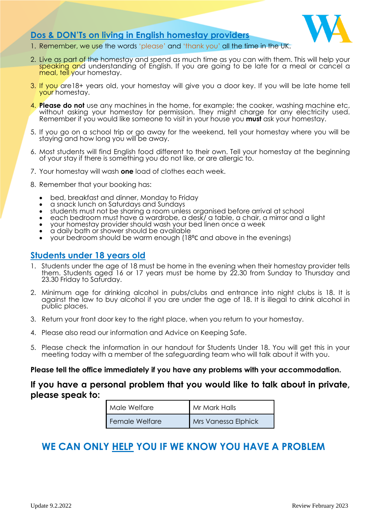

### **Dos & DON'Ts on living in English homestay providers**

- 1. Remember, we use the words 'please' and 'thank you' all the time in the UK.
- 2. Live as part of the homestay and spend as much time as you can with them. This will help your speaking and understanding of English. If you are going to be late for a meal or cancel a meal, tell your homestay.
- 3. If you are18+ years old, your homestay will give you a door key. If you will be late home tell your homestay.
- 4. **Please do not** use any machines in the home, for example; the cooker, washing machine etc, without asking your homestay for permission. They might charge for any electricity used. Remember if you would like someone to visit in your house you **must** ask your homestay.
- 5. If you go on a school trip or go away for the weekend, tell your homestay where you will be staying and how long you will be away.
- 6. Most students will find English food different to their own. Tell your homestay at the beginning of your stay if there is something you do not like, or are allergic to.
- 7. Your homestay will wash **one** load of clothes each week.
- 8. Remember that your booking has:
	- bed, breakfast and dinner, Monday to Friday
	- a snack lunch on Saturdays and Sundays
	- students must not be sharing a room unless organised before arrival at school
	- each bedroom must have a wardrobe, a desk/ a table, a chair, a mirror and a light
	- your homestay provider should wash your bed linen once a week
	- a daily bath or shower should be available
	- your bedroom should be warm enough (18⁰C and above in the evenings)

### **Students under 18 years old**

- 1. Students under the age of 18 must be home in the evening when their homestay provider tells them. Students aged 16 or 17 years must be home by 22.30 from Sunday to Thursday and 23.30 Friday to Saturday.
- 2. Minimum age for drinking alcohol in pubs/clubs and entrance into night clubs is 18. It is against the law to buy alcohol if you are under the age of 18. It is illegal to drink alcohol in public places.
- 3. Return your front door key to the right place, when you return to your homestay.
- 4. Please also read our information and Advice on Keeping Safe.
- 5. Please check the information in our handout for Students Under 18. You will get this in your meeting today with a member of the safeguarding team who will talk about it with you.

## Please tell the office immediately if you have any problems with your accommodation.<br>

### **If you have a personal problem that you would like to talk about in private, please speak to:**

| Male Welfare   | Mr Mark Halls              |
|----------------|----------------------------|
| Female Welfare | <b>Mrs Vanessa Elphick</b> |

### **WE CAN ONLY HELP YOU IF WE KNOW YOU HAVE A PROBLEM**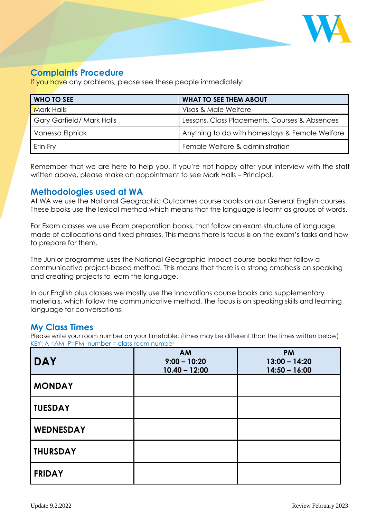

### **Complaints Procedure**

If you have any problems, please see these people immediately:

| WHO TO SEE               | <b>WHAT TO SEE THEM ABOUT</b>                  |  |
|--------------------------|------------------------------------------------|--|
| <b>Mark Halls</b>        | Visas & Male Welfare                           |  |
| Gary Garfield/Mark Halls | Lessons, Class Placements, Courses & Absences  |  |
| Vanessa Elphick          | Anything to do with homestays & Female Welfare |  |
| Erin Fry                 | Female Welfare & administration                |  |

Remember that we are here to help you. If you're not happy after your interview with the staff written above, please make an appointment to see Mark Halls – Principal.

### **Methodologies used at WA**

At WA we use the National Geographic Outcomes course books on our General English courses. These books use the lexical method which means that the language is learnt as groups of words.

For Exam classes we use Exam preparation books, that follow an exam structure of language made of collocations and fixed phrases. This means there is focus is on the exam's tasks and how to prepare for them.

The Junior programme uses the National Geographic Impact course books that follow a communicative project-based method. This means that there is a strong emphasis on speaking and creating projects to learn the language.

In our English plus classes we mostly use the Innovations course books and supplementary materials, which follow the communicative method. The focus is on speaking skills and learning language for conversations.

### **My Class Times**

Please write your room number on your timetable: (times may be different than the times written below) KEY: A =AM, P=PM, number = class room number

| <b>DAY</b>       | <b>AM</b><br>$9:00 - 10:20$<br>$10.40 - 12:00$ | <b>PM</b><br>$13:00 - 14:20$<br>$14:50 - 16:00$ |
|------------------|------------------------------------------------|-------------------------------------------------|
| <b>MONDAY</b>    |                                                |                                                 |
| <b>TUESDAY</b>   |                                                |                                                 |
| <b>WEDNESDAY</b> |                                                |                                                 |
| <b>THURSDAY</b>  |                                                |                                                 |
| <b>FRIDAY</b>    |                                                |                                                 |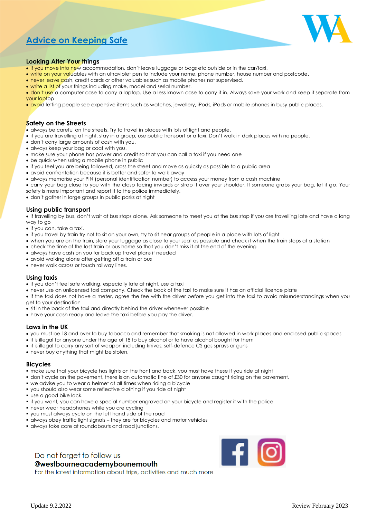### **Advice on Keeping Safe**



#### **Looking After Your things**

- if you move into new accommodation, don't leave luggage or bags etc outside or in the car/taxi.
- write on your valuables with an ultraviolet pen to include your name, phone number, house number and postcode.
- never leave cash, credit cards or other valuables such as mobile phones not supervised.
- write a list of your things including make, model and serial number.
- don't use a computer case to carry a laptop. Use a less known case to carry it in. Always save your work and keep it separate from your laptop
- avoid letting people see expensive items such as watches, jewellery, iPods, iPads or mobile phones in busy public places.

#### **Safety on the Streets**

- always be careful on the streets. Try to travel in places with lots of light and people.
- if you are travelling at night, stay in a group, use public transport or a taxi. Don't walk in dark places with no people.
- don't carry large amounts of cash with you.
- always keep your bag or coat with you.
- make sure your phone has power and credit so that you can call a taxi if you need one
- be quick when using a mobile phone in public
- if you feel you are being followed, cross the street and move as quickly as possible to a public area
- avoid confrontation because it is better and safer to walk away
- always memorise your PIN (personal identification number) to access your money from a cash machine
- carry your bag close to you with the clasp facing inwards or strap it over your shoulder. If someone grabs your bag, let it go. Your safety is more important and report it to the police immediately.
- don't gather in large groups in public parks at night

#### **Using public transport**

• if travelling by bus, don't wait at bus stops alone. Ask someone to meet you at the bus stop if you are travelling late and have a long way to go

- if you can, take a taxi.
- if you travel by train try not to sit on your own, try to sit near groups of people in a place with lots of light
- when you are on the train, store your luggage as close to your seat as possible and check it when the train stops at a station
- check the time of the last train or bus home so that you don't miss it at the end of the evening
- always have cash on you for back up travel plans if needed
- avoid walking alone after getting off a train or bus
- never walk across or touch railway lines.

#### **Using taxis**

- if you don't feel safe walking, especially late at night, use a taxi
- never use an unlicensed taxi company. Check the back of the taxi to make sure it has an official licence plate

• if the taxi does not have a meter, agree the fee with the driver before you get into the taxi to avoid misunderstandings when you get to your destination

- sit in the back of the taxi and directly behind the driver whenever possible
- have your cash ready and leave the taxi before you pay the driver.

#### **Laws in the UK**

- you must be 18 and over to buy tobacco and remember that smoking is not allowed in work places and enclosed public spaces
- it is illegal for anyone under the age of 18 to buy alcohol or to have alcohol bought for them
- it is illegal to carry any sort of weapon including knives, self-defence CS gas sprays or guns
- never buy anything that might be stolen.

#### **Bicycles**

- make sure that your bicycle has lights on the front and back, you must have these if you ride at night
- don't cycle on the pavement, there is an automatic fine of £30 for anyone caught riding on the pavement.
- we advise you to wear a helmet at all times when riding a bicycle
- you should also wear some reflective clothing if you ride at night
- use a good bike lock.
- if you want, you can have a special number engraved on your bicycle and register it with the police
- **never wear headphones while you are cycling**
- you must always cycle on the left hand side of the road
- always obey traffic light signals they are for bicycles and motor vehicles
- always take care at roundabouts and road junctions.

#### Do not forget to follow us **@westbourneacademybounemouth**

 $\mathbf{F}$   $\mathbf{G}$ 

For the latest information about trips, activities and much more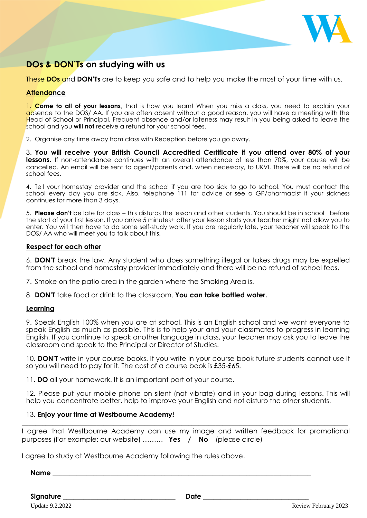

### **DOs & DON'Ts on studying with us**

These **DOs** and **DON'Ts** are to keep you safe and to help you make the most of your time with us.

#### **Attendance**

1. **Come to all of your lessons**, that is how you learn! When you miss a class, you need to explain your absence to the DOS/ AA. If you are often absent without a good reason, you will have a meeting with the Head of School or Principal. Frequent absence and/or lateness may result in you being asked to leave the school and you **will not** receive a refund for your school fees.

2. Organise any time away from class with Reception before you go away.

3. **You will receive your British Council Accredited Certificate if you attend over 80% of your lessons.** If non-attendance continues with an overall attendance of less than 70%, your course will be cancelled. An email will be sent to agent/parents and, when necessary, to UKVI. There will be no refund of school fees.

4. Tell your homestay provider and the school if you are too sick to go to school. You must contact the school every day you are sick. Also, telephone 111 for advice or see a GP/pharmacist if your sickness continues for more than 3 days.

5. **Please don't** be late for class – this disturbs the lesson and other students. You should be in school before the start of your first lesson. If you arrive 5 minutes+ after your lesson starts your teacher might not allow you to enter. You will then have to do some self-study work. If you are regularly late, your teacher will speak to the DOS/ AA who will meet you to talk about this.

#### **Respect for each other**

6. **DON'T** break the law. Any student who does something illegal or takes drugs may be expelled from the school and homestay provider immediately and there will be no refund of school fees.

7. Smoke on the patio area in the garden where the Smoking Area is.

8. **DON'T** take food or drink to the classroom. **You can take bottled water.**

#### **Learning**

9. Speak English 100% when you are at school. This is an English school and we want everyone to speak English as much as possible. This is to help your and your classmates to progress in learning English. If you continue to speak another language in class, your teacher may ask you to leave the classroom and speak to the Principal or Director of Studies.

10**. DON'T** write in your course books. If you write in your course book future students cannot use it so you will need to pay for it. The cost of a course book is £35-£65.

11**. DO** all your homework. It is an important part of your course.

12**.** Please put your mobile phone on silent (not vibrate) and in your bag during lessons. This will help you concentrate better, help to improve your English and not disturb the other students.

#### 13**. Enjoy your time at Westbourne Academy!**

I agree that Westbourne Academy can use my image and written feedback for promotional purposes (For example: our website) ……… **Yes / No** (please circle)

 $\_$  ,  $\_$  ,  $\_$  ,  $\_$  ,  $\_$  ,  $\_$  ,  $\_$  ,  $\_$  ,  $\_$  ,  $\_$  ,  $\_$  ,  $\_$  ,  $\_$  ,  $\_$  ,  $\_$  ,  $\_$  ,  $\_$  ,  $\_$  ,  $\_$  ,  $\_$  ,  $\_$  ,  $\_$  ,  $\_$  ,  $\_$  ,  $\_$  ,  $\_$  ,  $\_$  ,  $\_$  ,  $\_$  ,  $\_$  ,  $\_$  ,  $\_$  ,  $\_$  ,  $\_$  ,  $\_$  ,  $\_$  ,  $\_$  ,

I agree to study at Westbourne Academy following the rules above.

**Name** \_\_\_\_\_\_\_\_\_\_\_\_\_\_\_\_\_\_\_\_\_\_\_\_\_\_\_\_\_\_\_\_\_\_\_\_\_\_\_\_\_\_\_\_\_\_\_\_\_\_\_\_\_\_\_\_\_\_\_\_\_\_\_\_\_\_\_\_\_\_\_\_\_\_\_\_

**Signature** \_\_\_\_\_\_\_\_\_\_\_\_\_\_\_\_\_\_\_\_\_\_\_\_\_\_\_\_\_\_\_\_\_ **Date** \_\_\_\_\_\_\_\_\_\_\_\_\_\_\_\_\_\_\_\_\_\_\_\_\_\_\_\_\_\_\_